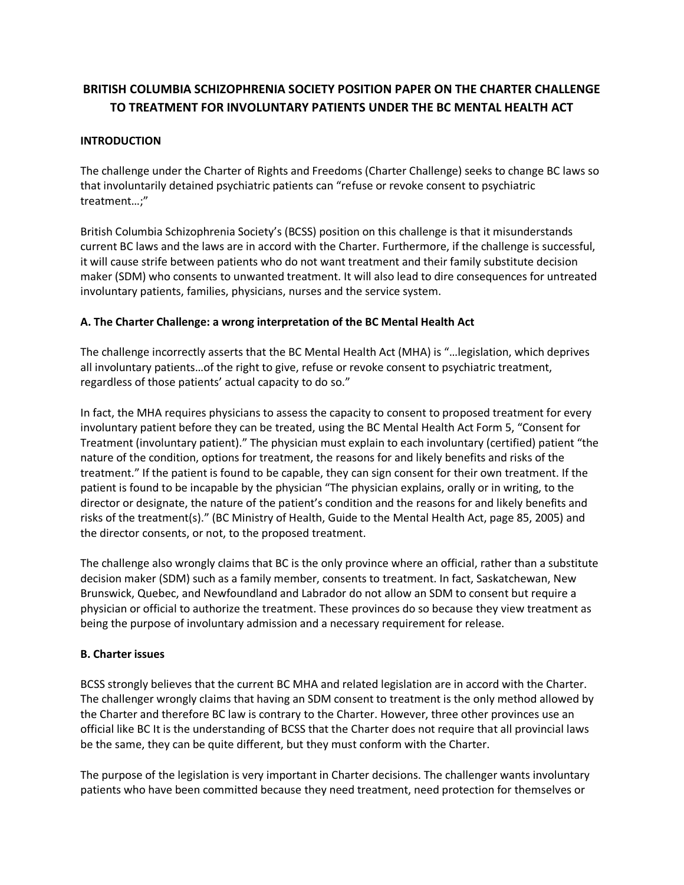# **BRITISH COLUMBIA SCHIZOPHRENIA SOCIETY POSITION PAPER ON THE CHARTER CHALLENGE TO TREATMENT FOR INVOLUNTARY PATIENTS UNDER THE BC MENTAL HEALTH ACT**

### **INTRODUCTION**

The challenge under the Charter of Rights and Freedoms (Charter Challenge) seeks to change BC laws so that involuntarily detained psychiatric patients can "refuse or revoke consent to psychiatric treatment…;"

British Columbia Schizophrenia Society's (BCSS) position on this challenge is that it misunderstands current BC laws and the laws are in accord with the Charter. Furthermore, if the challenge is successful, it will cause strife between patients who do not want treatment and their family substitute decision maker (SDM) who consents to unwanted treatment. It will also lead to dire consequences for untreated involuntary patients, families, physicians, nurses and the service system.

#### **A. The Charter Challenge: a wrong interpretation of the BC Mental Health Act**

The challenge incorrectly asserts that the BC Mental Health Act (MHA) is "…legislation, which deprives all involuntary patients…of the right to give, refuse or revoke consent to psychiatric treatment, regardless of those patients' actual capacity to do so."

In fact, the MHA requires physicians to assess the capacity to consent to proposed treatment for every involuntary patient before they can be treated, using the BC Mental Health Act Form 5, "Consent for Treatment (involuntary patient)." The physician must explain to each involuntary (certified) patient "the nature of the condition, options for treatment, the reasons for and likely benefits and risks of the treatment." If the patient is found to be capable, they can sign consent for their own treatment. If the patient is found to be incapable by the physician "The physician explains, orally or in writing, to the director or designate, the nature of the patient's condition and the reasons for and likely benefits and risks of the treatment(s)." (BC Ministry of Health, Guide to the Mental Health Act, page 85, 2005) and the director consents, or not, to the proposed treatment.

The challenge also wrongly claims that BC is the only province where an official, rather than a substitute decision maker (SDM) such as a family member, consents to treatment. In fact, Saskatchewan, New Brunswick, Quebec, and Newfoundland and Labrador do not allow an SDM to consent but require a physician or official to authorize the treatment. These provinces do so because they view treatment as being the purpose of involuntary admission and a necessary requirement for release.

#### **B. Charter issues**

BCSS strongly believes that the current BC MHA and related legislation are in accord with the Charter. The challenger wrongly claims that having an SDM consent to treatment is the only method allowed by the Charter and therefore BC law is contrary to the Charter. However, three other provinces use an official like BC It is the understanding of BCSS that the Charter does not require that all provincial laws be the same, they can be quite different, but they must conform with the Charter.

The purpose of the legislation is very important in Charter decisions. The challenger wants involuntary patients who have been committed because they need treatment, need protection for themselves or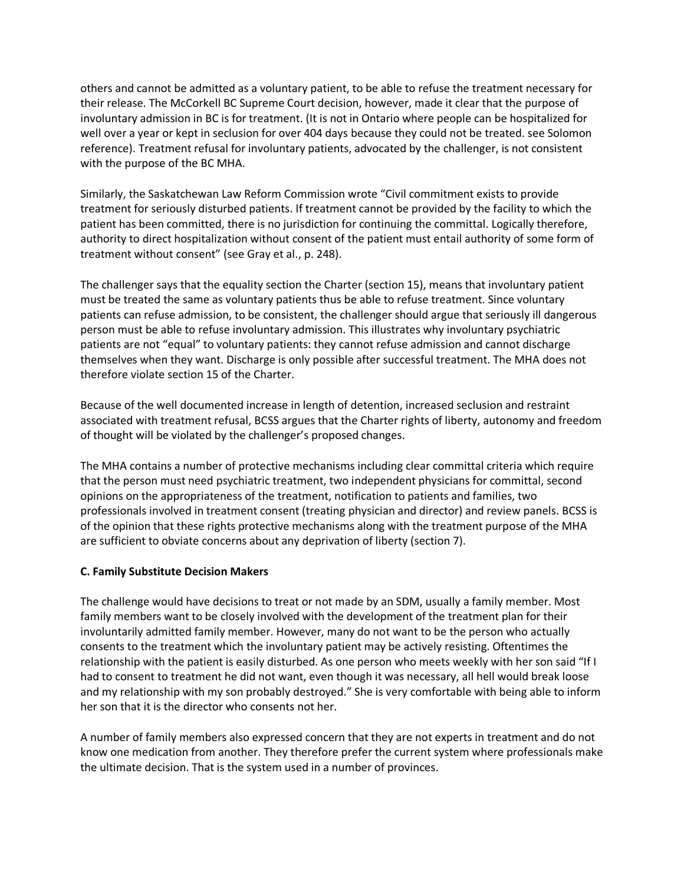others and cannot be admitted as a voluntary patient, to be able to refuse the treatment necessary for their release. The McCorkell BC Supreme Court decision, however, made it clear that the purpose of involuntary admission in BC is for treatment. (It is not in Ontario where people can be hospitalized for well over a year or kept in seclusion for over 404 days because they could not be treated. see Solomon reference). Treatment refusal for involuntary patients, advocated by the challenger, is not consistent with the purpose of the BC MHA.

Similarly, the Saskatchewan Law Reform Commission wrote "Civil commitment exists to provide treatment for seriously disturbed patients. If treatment cannot be provided by the facility to which the patient has been committed, there is no jurisdiction for continuing the committal. Logically therefore, authority to direct hospitalization without consent of the patient must entail authority of some form of treatment without consent" (see Gray et al., p. 248).

The challenger says that the equality section the Charter (section 15), means that involuntary patient must be treated the same as voluntary patients thus be able to refuse treatment. Since voluntary patients can refuse admission, to be consistent, the challenger should argue that seriously ill dangerous person must be able to refuse involuntary admission. This illustrates why involuntary psychiatric patients are not "equal" to voluntary patients: they cannot refuse admission and cannot discharge themselves when they want. Discharge is only possible after successful treatment. The MHA does not therefore violate section 15 of the Charter.

Because of the well documented increase in length of detention, increased seclusion and restraint associated with treatment refusal, BCSS argues that the Charter rights of liberty, autonomy and freedom of thought will be violated by the challenger's proposed changes.

The MHA contains a number of protective mechanisms including clear committal criteria which require that the person must need psychiatric treatment, two independent physicians for committal, second opinions on the appropriateness of the treatment, notification to patients and families, two professionals involved in treatment consent (treating physician and director) and review panels. BCSS is of the opinion that these rights protective mechanisms along with the treatment purpose of the MHA are sufficient to obviate concerns about any deprivation of liberty (section 7).

#### **C. Family Substitute Decision Makers**

The challenge would have decisions to treat or not made by an SDM, usually a family member. Most family members want to be closely involved with the development of the treatment plan for their involuntarily admitted family member. However, many do not want to be the person who actually consents to the treatment which the involuntary patient may be actively resisting. Oftentimes the relationship with the patient is easily disturbed. As one person who meets weekly with her son said "If I had to consent to treatment he did not want, even though it was necessary, all hell would break loose and my relationship with my son probably destroyed." She is very comfortable with being able to inform her son that it is the director who consents not her.

A number of family members also expressed concern that they are not experts in treatment and do not know one medication from another. They therefore prefer the current system where professionals make the ultimate decision. That is the system used in a number of provinces.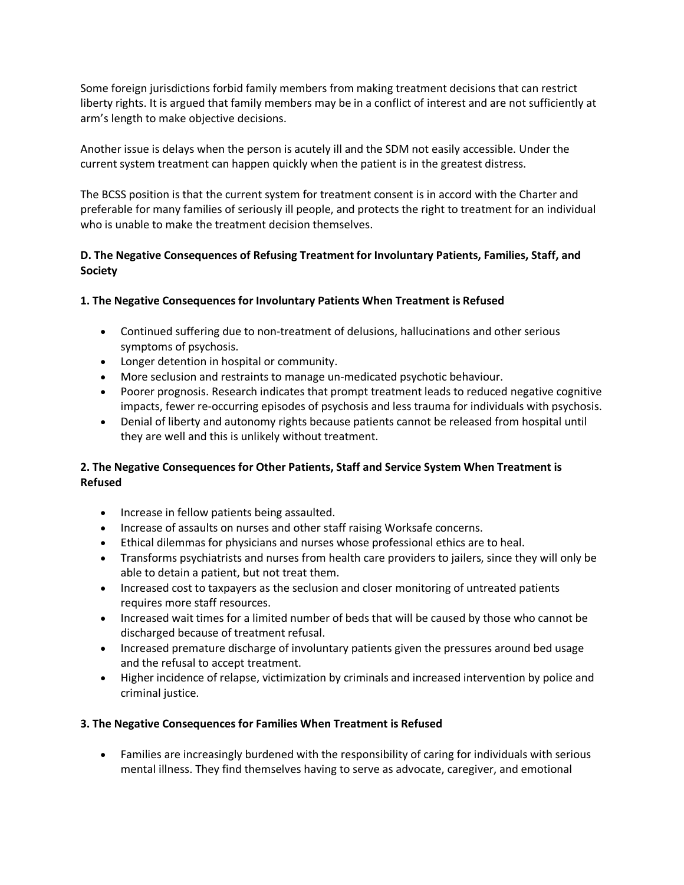Some foreign jurisdictions forbid family members from making treatment decisions that can restrict liberty rights. It is argued that family members may be in a conflict of interest and are not sufficiently at arm's length to make objective decisions.

Another issue is delays when the person is acutely ill and the SDM not easily accessible. Under the current system treatment can happen quickly when the patient is in the greatest distress.

The BCSS position is that the current system for treatment consent is in accord with the Charter and preferable for many families of seriously ill people, and protects the right to treatment for an individual who is unable to make the treatment decision themselves.

# **D. The Negative Consequences of Refusing Treatment for Involuntary Patients, Families, Staff, and Society**

### **1. The Negative Consequences for Involuntary Patients When Treatment is Refused**

- Continued suffering due to non-treatment of delusions, hallucinations and other serious symptoms of psychosis.
- Longer detention in hospital or community.
- More seclusion and restraints to manage un-medicated psychotic behaviour.
- Poorer prognosis. Research indicates that prompt treatment leads to reduced negative cognitive impacts, fewer re-occurring episodes of psychosis and less trauma for individuals with psychosis.
- Denial of liberty and autonomy rights because patients cannot be released from hospital until they are well and this is unlikely without treatment.

# **2. The Negative Consequences for Other Patients, Staff and Service System When Treatment is Refused**

- Increase in fellow patients being assaulted.
- Increase of assaults on nurses and other staff raising Worksafe concerns.
- Ethical dilemmas for physicians and nurses whose professional ethics are to heal.
- Transforms psychiatrists and nurses from health care providers to jailers, since they will only be able to detain a patient, but not treat them.
- Increased cost to taxpayers as the seclusion and closer monitoring of untreated patients requires more staff resources.
- Increased wait times for a limited number of beds that will be caused by those who cannot be discharged because of treatment refusal.
- Increased premature discharge of involuntary patients given the pressures around bed usage and the refusal to accept treatment.
- Higher incidence of relapse, victimization by criminals and increased intervention by police and criminal justice.

### **3. The Negative Consequences for Families When Treatment is Refused**

• Families are increasingly burdened with the responsibility of caring for individuals with serious mental illness. They find themselves having to serve as advocate, caregiver, and emotional